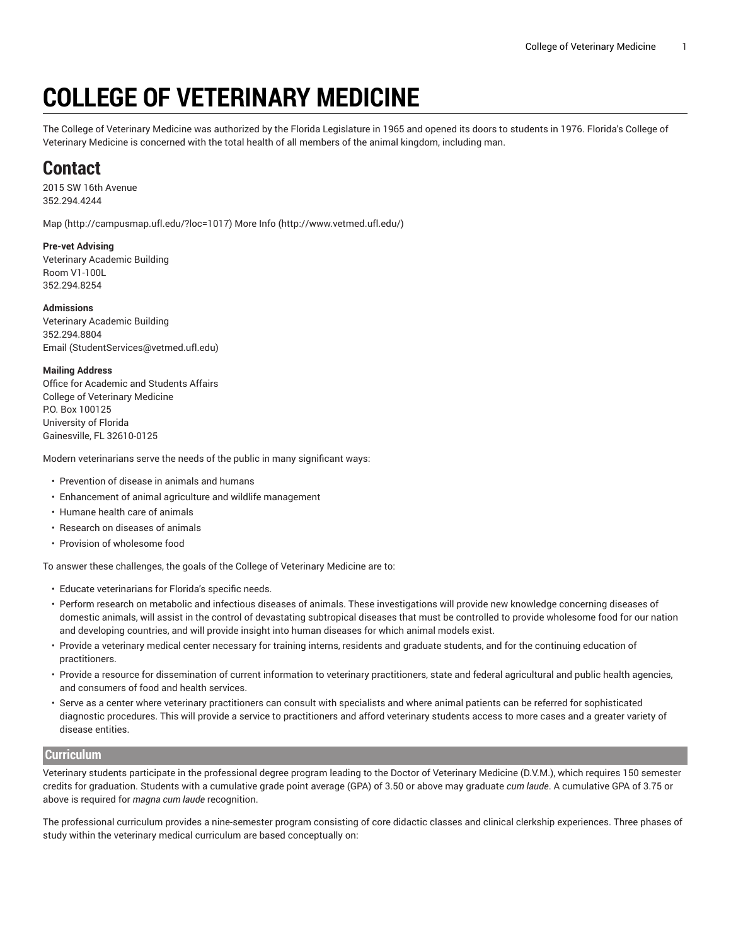# **COLLEGE OF VETERINARY MEDICINE**

The College of Veterinary Medicine was authorized by the Florida Legislature in 1965 and opened its doors to students in 1976. Florida's College of Veterinary Medicine is concerned with the total health of all members of the animal kingdom, including man.

# **Contact**

2015 SW 16th Avenue 352.294.4244

[Map](http://campusmap.ufl.edu/?loc=1017) ([http://campusmap.ufl.edu/?loc=1017\)](http://campusmap.ufl.edu/?loc=1017) [More](http://www.vetmed.ufl.edu/) Info ([http://www.vetmed.ufl.edu/\)](http://www.vetmed.ufl.edu/)

### **Pre-vet Advising**

Veterinary Academic Building Room V1-100L 352.294.8254

#### **Admissions**

Veterinary Academic Building 352.294.8804 [Email](mailto:StudentServices@vetmed.ufl.edu) ([StudentServices@vetmed.ufl.edu\)](StudentServices@vetmed.ufl.edu)

#### **Mailing Address**

Office for Academic and Students Affairs College of Veterinary Medicine P.O. Box 100125 University of Florida Gainesville, FL 32610-0125

Modern veterinarians serve the needs of the public in many significant ways:

- Prevention of disease in animals and humans
- Enhancement of animal agriculture and wildlife management
- Humane health care of animals
- Research on diseases of animals
- Provision of wholesome food

To answer these challenges, the goals of the College of Veterinary Medicine are to:

- Educate veterinarians for Florida's specific needs.
- Perform research on metabolic and infectious diseases of animals. These investigations will provide new knowledge concerning diseases of domestic animals, will assist in the control of devastating subtropical diseases that must be controlled to provide wholesome food for our nation and developing countries, and will provide insight into human diseases for which animal models exist.
- Provide a veterinary medical center necessary for training interns, residents and graduate students, and for the continuing education of practitioners.
- Provide a resource for dissemination of current information to veterinary practitioners, state and federal agricultural and public health agencies, and consumers of food and health services.
- Serve as a center where veterinary practitioners can consult with specialists and where animal patients can be referred for sophisticated diagnostic procedures. This will provide a service to practitioners and afford veterinary students access to more cases and a greater variety of disease entities.

## **Curriculum**

Veterinary students participate in the professional degree program leading to the Doctor of Veterinary Medicine (D.V.M.), which requires 150 semester credits for graduation. Students with a cumulative grade point average (GPA) of 3.50 or above may graduate *cum laude*. A cumulative GPA of 3.75 or above is required for *magna cum laude* recognition.

The professional curriculum provides a nine-semester program consisting of core didactic classes and clinical clerkship experiences. Three phases of study within the veterinary medical curriculum are based conceptually on: